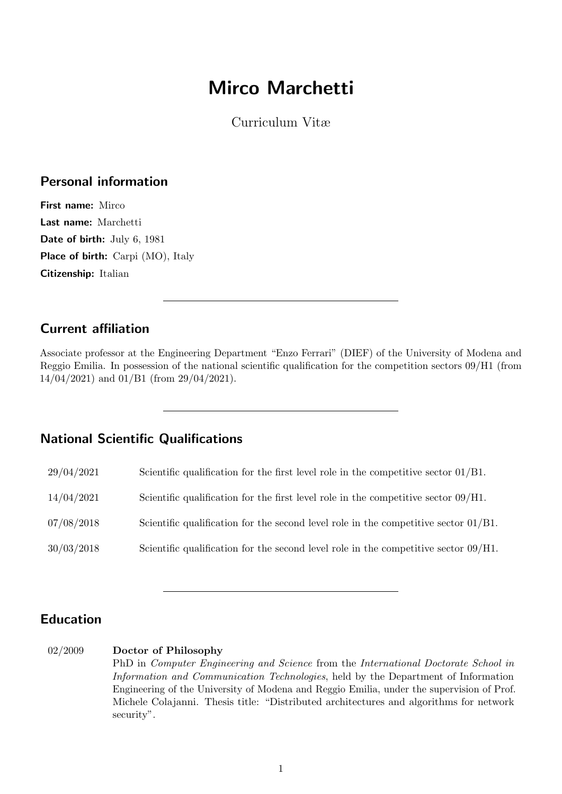# Mirco Marchetti

Curriculum Vitæ

# Personal information

First name: Mirco Last name: Marchetti Date of birth: July 6, 1981 Place of birth: Carpi (MO), Italy Citizenship: Italian

# Current affiliation

Associate professor at the Engineering Department "Enzo Ferrari" (DIEF) of the University of Modena and Reggio Emilia. In possession of the national scientific qualification for the competition sectors 09/H1 (from 14/04/2021) and 01/B1 (from 29/04/2021).

# National Scientific Qualifications

|  | 29/04/2021 |  |  |  | Scientific qualification for the first level role in the competitive sector $01/B1$ . |  |
|--|------------|--|--|--|---------------------------------------------------------------------------------------|--|
|  |            |  |  |  |                                                                                       |  |

- 14/04/2021 Scientific qualification for the first level role in the competitive sector 09/H1.
- 07/08/2018 Scientific qualification for the second level role in the competitive sector 01/B1.
- 30/03/2018 Scientific qualification for the second level role in the competitive sector 09/H1.

# Education

#### 02/2009 Doctor of Philosophy

PhD in Computer Engineering and Science from the International Doctorate School in Information and Communication Technologies, held by the Department of Information Engineering of the University of Modena and Reggio Emilia, under the supervision of Prof. Michele Colajanni. Thesis title: "Distributed architectures and algorithms for network security".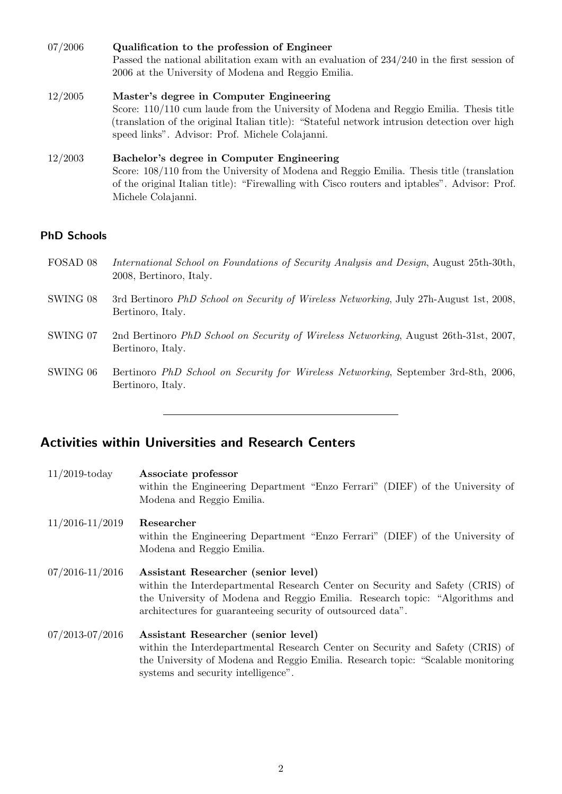| 07/2006 | Qualification to the profession of Engineer                                                  |
|---------|----------------------------------------------------------------------------------------------|
|         | Passed the national abilitation exam with an evaluation of $234/240$ in the first session of |
|         | 2006 at the University of Modena and Reggio Emilia.                                          |
| 12/2005 | Master's degree in Computer Engineering                                                      |

Score: 110/110 cum laude from the University of Modena and Reggio Emilia. Thesis title (translation of the original Italian title): "Stateful network intrusion detection over high speed links". Advisor: Prof. Michele Colajanni.

#### 12/2003 Bachelor's degree in Computer Engineering Score: 108/110 from the University of Modena and Reggio Emilia. Thesis title (translation of the original Italian title): "Firewalling with Cisco routers and iptables". Advisor: Prof. Michele Colajanni.

# PhD Schools

- FOSAD 08 International School on Foundations of Security Analysis and Design, August 25th-30th, 2008, Bertinoro, Italy.
- SWING 08 3rd Bertinoro PhD School on Security of Wireless Networking, July 27h-August 1st, 2008, Bertinoro, Italy.
- SWING 07 2nd Bertinoro PhD School on Security of Wireless Networking, August 26th-31st, 2007, Bertinoro, Italy.
- SWING 06 Bertinoro PhD School on Security for Wireless Networking, September 3rd-8th, 2006, Bertinoro, Italy.

# Activities within Universities and Research Centers

| $11/2019$ -today    | Associate professor<br>within the Engineering Department "Enzo Ferrari" (DIEF) of the University of<br>Modena and Reggio Emilia.                                                                                                                                    |
|---------------------|---------------------------------------------------------------------------------------------------------------------------------------------------------------------------------------------------------------------------------------------------------------------|
| $11/2016 - 11/2019$ | Researcher<br>within the Engineering Department "Enzo Ferrari" (DIEF) of the University of<br>Modena and Reggio Emilia.                                                                                                                                             |
| $07/2016 - 11/2016$ | Assistant Researcher (senior level)<br>within the Interdepartmental Research Center on Security and Safety (CRIS) of<br>the University of Modena and Reggio Emilia. Research topic: "Algorithms and<br>architectures for guaranteeing security of outsourced data". |
| $07/2013 - 07/2016$ | Assistant Researcher (senior level)<br>within the Interdepartmental Research Center on Security and Safety (CRIS) of<br>the University of Modena and Reggio Emilia. Research topic: "Scalable monitoring<br>systems and security intelligence".                     |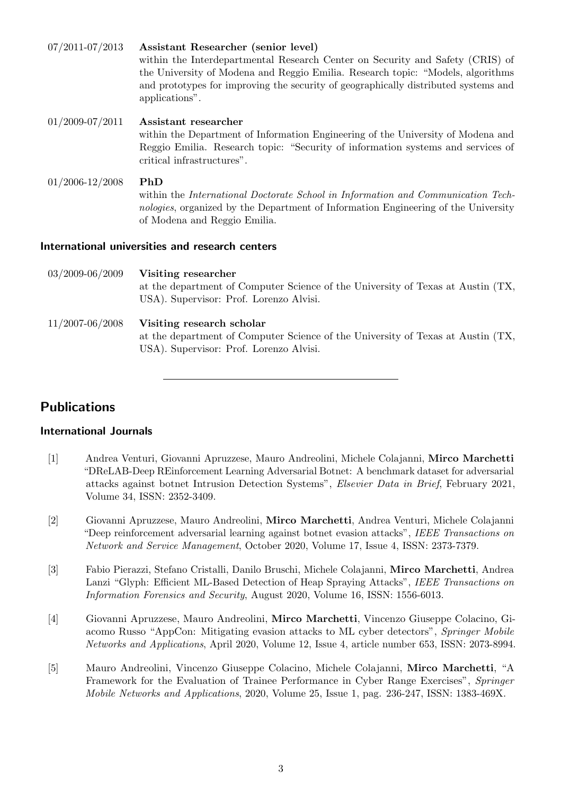| $07/2011 - 07/2013$ | Assistant Researcher (senior level)<br>within the Interdepartmental Research Center on Security and Safety (CRIS) of<br>the University of Modena and Reggio Emilia. Research topic: "Models, algorithms"<br>and prototypes for improving the security of geographically distributed systems and<br>applications". |
|---------------------|-------------------------------------------------------------------------------------------------------------------------------------------------------------------------------------------------------------------------------------------------------------------------------------------------------------------|
| $01/2009 - 07/2011$ | Assistant researcher<br>within the Department of Information Engineering of the University of Modena and<br>Reggio Emilia. Research topic: "Security of information systems and services of<br>critical infrastructures".                                                                                         |
| $01/2006 - 12/2008$ | PhD<br>within the International Doctorate School in Information and Communication Tech-<br>nologies, organized by the Department of Information Engineering of the University<br>of Modena and Reggio Emilia.                                                                                                     |
|                     | International universities and research centers                                                                                                                                                                                                                                                                   |
| 03/2009-06/2009     | Visiting researcher<br>at the department of Computer Science of the University of Texas at Austin (TX,<br>USA). Supervisor: Prof. Lorenzo Alvisi.                                                                                                                                                                 |
| $11/2007 - 06/2008$ | Visiting research scholar<br>at the department of Computer Science of the University of Texas at Austin (TX,                                                                                                                                                                                                      |

# Publications

### International Journals

[1] Andrea Venturi, Giovanni Apruzzese, Mauro Andreolini, Michele Colajanni, Mirco Marchetti "DReLAB-Deep REinforcement Learning Adversarial Botnet: A benchmark dataset for adversarial attacks against botnet Intrusion Detection Systems", Elsevier Data in Brief, February 2021, Volume 34, ISSN: 2352-3409.

USA). Supervisor: Prof. Lorenzo Alvisi.

- [2] Giovanni Apruzzese, Mauro Andreolini, Mirco Marchetti, Andrea Venturi, Michele Colajanni "Deep reinforcement adversarial learning against botnet evasion attacks", IEEE Transactions on Network and Service Management, October 2020, Volume 17, Issue 4, ISSN: 2373-7379.
- [3] Fabio Pierazzi, Stefano Cristalli, Danilo Bruschi, Michele Colajanni, Mirco Marchetti, Andrea Lanzi "Glyph: Efficient ML-Based Detection of Heap Spraying Attacks", IEEE Transactions on Information Forensics and Security, August 2020, Volume 16, ISSN: 1556-6013.
- [4] Giovanni Apruzzese, Mauro Andreolini, Mirco Marchetti, Vincenzo Giuseppe Colacino, Giacomo Russo "AppCon: Mitigating evasion attacks to ML cyber detectors", Springer Mobile Networks and Applications, April 2020, Volume 12, Issue 4, article number 653, ISSN: 2073-8994.
- [5] Mauro Andreolini, Vincenzo Giuseppe Colacino, Michele Colajanni, Mirco Marchetti, "A Framework for the Evaluation of Trainee Performance in Cyber Range Exercises", Springer Mobile Networks and Applications, 2020, Volume 25, Issue 1, pag. 236-247, ISSN: 1383-469X.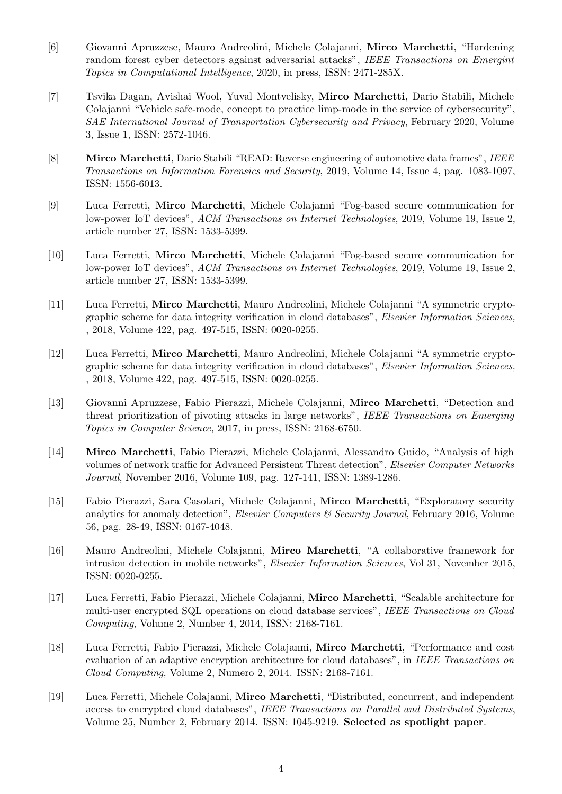- [6] Giovanni Apruzzese, Mauro Andreolini, Michele Colajanni, Mirco Marchetti, "Hardening random forest cyber detectors against adversarial attacks", IEEE Transactions on Emergint Topics in Computational Intelligence, 2020, in press, ISSN: 2471-285X.
- [7] Tsvika Dagan, Avishai Wool, Yuval Montvelisky, Mirco Marchetti, Dario Stabili, Michele Colajanni "Vehicle safe-mode, concept to practice limp-mode in the service of cybersecurity", SAE International Journal of Transportation Cybersecurity and Privacy, February 2020, Volume 3, Issue 1, ISSN: 2572-1046.
- [8] Mirco Marchetti, Dario Stabili "READ: Reverse engineering of automotive data frames", IEEE Transactions on Information Forensics and Security, 2019, Volume 14, Issue 4, pag. 1083-1097, ISSN: 1556-6013.
- [9] Luca Ferretti, Mirco Marchetti, Michele Colajanni "Fog-based secure communication for low-power IoT devices", ACM Transactions on Internet Technologies, 2019, Volume 19, Issue 2, article number 27, ISSN: 1533-5399.
- [10] Luca Ferretti, Mirco Marchetti, Michele Colajanni "Fog-based secure communication for low-power IoT devices", ACM Transactions on Internet Technologies, 2019, Volume 19, Issue 2, article number 27, ISSN: 1533-5399.
- [11] Luca Ferretti, Mirco Marchetti, Mauro Andreolini, Michele Colajanni "A symmetric cryptographic scheme for data integrity verification in cloud databases", Elsevier Information Sciences, , 2018, Volume 422, pag. 497-515, ISSN: 0020-0255.
- [12] Luca Ferretti, Mirco Marchetti, Mauro Andreolini, Michele Colajanni "A symmetric cryptographic scheme for data integrity verification in cloud databases", Elsevier Information Sciences, , 2018, Volume 422, pag. 497-515, ISSN: 0020-0255.
- [13] Giovanni Apruzzese, Fabio Pierazzi, Michele Colajanni, Mirco Marchetti, "Detection and threat prioritization of pivoting attacks in large networks", IEEE Transactions on Emerging Topics in Computer Science, 2017, in press, ISSN: 2168-6750.
- [14] Mirco Marchetti, Fabio Pierazzi, Michele Colajanni, Alessandro Guido, "Analysis of high volumes of network traffic for Advanced Persistent Threat detection", Elsevier Computer Networks Journal, November 2016, Volume 109, pag. 127-141, ISSN: 1389-1286.
- [15] Fabio Pierazzi, Sara Casolari, Michele Colajanni, Mirco Marchetti, "Exploratory security analytics for anomaly detection", Elsevier Computers  $\mathcal C$  Security Journal, February 2016, Volume 56, pag. 28-49, ISSN: 0167-4048.
- [16] Mauro Andreolini, Michele Colajanni, Mirco Marchetti, "A collaborative framework for intrusion detection in mobile networks", Elsevier Information Sciences, Vol 31, November 2015, ISSN: 0020-0255.
- [17] Luca Ferretti, Fabio Pierazzi, Michele Colajanni, Mirco Marchetti, "Scalable architecture for multi-user encrypted SQL operations on cloud database services", IEEE Transactions on Cloud Computing, Volume 2, Number 4, 2014, ISSN: 2168-7161.
- [18] Luca Ferretti, Fabio Pierazzi, Michele Colajanni, Mirco Marchetti, "Performance and cost evaluation of an adaptive encryption architecture for cloud databases", in IEEE Transactions on Cloud Computing, Volume 2, Numero 2, 2014. ISSN: 2168-7161.
- <span id="page-3-0"></span>[19] Luca Ferretti, Michele Colajanni, Mirco Marchetti, "Distributed, concurrent, and independent access to encrypted cloud databases", IEEE Transactions on Parallel and Distributed Systems, Volume 25, Number 2, February 2014. ISSN: 1045-9219. Selected as spotlight paper.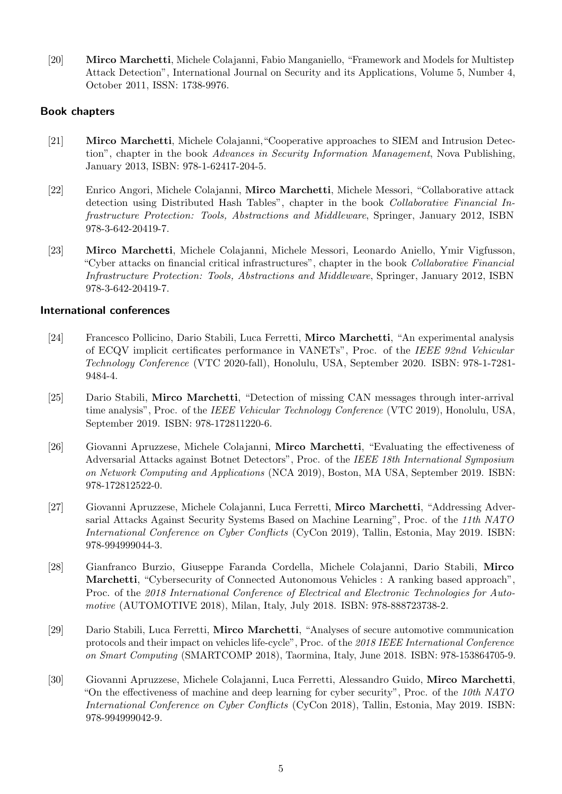[20] Mirco Marchetti, Michele Colajanni, Fabio Manganiello, "Framework and Models for Multistep Attack Detection", International Journal on Security and its Applications, Volume 5, Number 4, October 2011, ISSN: 1738-9976.

### Book chapters

- [21] Mirco Marchetti, Michele Colajanni,"Cooperative approaches to SIEM and Intrusion Detection", chapter in the book *Advances in Security Information Management*, Nova Publishing, January 2013, ISBN: 978-1-62417-204-5.
- <span id="page-4-0"></span>[22] Enrico Angori, Michele Colajanni, Mirco Marchetti, Michele Messori, "Collaborative attack detection using Distributed Hash Tables", chapter in the book Collaborative Financial Infrastructure Protection: Tools, Abstractions and Middleware, Springer, January 2012, ISBN 978-3-642-20419-7.
- [23] Mirco Marchetti, Michele Colajanni, Michele Messori, Leonardo Aniello, Ymir Vigfusson, "Cyber attacks on financial critical infrastructures", chapter in the book Collaborative Financial Infrastructure Protection: Tools, Abstractions and Middleware, Springer, January 2012, ISBN 978-3-642-20419-7.

#### International conferences

- [24] Francesco Pollicino, Dario Stabili, Luca Ferretti, Mirco Marchetti, "An experimental analysis of ECQV implicit certificates performance in VANETs", Proc. of the IEEE 92nd Vehicular Technology Conference (VTC 2020-fall), Honolulu, USA, September 2020. ISBN: 978-1-7281- 9484-4.
- [25] Dario Stabili, Mirco Marchetti, "Detection of missing CAN messages through inter-arrival time analysis", Proc. of the *IEEE Vehicular Technology Conference* (VTC 2019), Honolulu, USA, September 2019. ISBN: 978-172811220-6.
- [26] Giovanni Apruzzese, Michele Colajanni, Mirco Marchetti, "Evaluating the effectiveness of Adversarial Attacks against Botnet Detectors", Proc. of the IEEE 18th International Symposium on Network Computing and Applications (NCA 2019), Boston, MA USA, September 2019. ISBN: 978-172812522-0.
- [27] Giovanni Apruzzese, Michele Colajanni, Luca Ferretti, Mirco Marchetti, "Addressing Adversarial Attacks Against Security Systems Based on Machine Learning", Proc. of the 11th NATO International Conference on Cyber Conflicts (CyCon 2019), Tallin, Estonia, May 2019. ISBN: 978-994999044-3.
- [28] Gianfranco Burzio, Giuseppe Faranda Cordella, Michele Colajanni, Dario Stabili, Mirco Marchetti, "Cybersecurity of Connected Autonomous Vehicles : A ranking based approach", Proc. of the 2018 International Conference of Electrical and Electronic Technologies for Automotive (AUTOMOTIVE 2018), Milan, Italy, July 2018. ISBN: 978-888723738-2.
- [29] Dario Stabili, Luca Ferretti, Mirco Marchetti, "Analyses of secure automotive communication protocols and their impact on vehicles life-cycle", Proc. of the 2018 IEEE International Conference on Smart Computing (SMARTCOMP 2018), Taormina, Italy, June 2018. ISBN: 978-153864705-9.
- [30] Giovanni Apruzzese, Michele Colajanni, Luca Ferretti, Alessandro Guido, Mirco Marchetti, "On the effectiveness of machine and deep learning for cyber security", Proc. of the  $10th$  NATO International Conference on Cyber Conflicts (CyCon 2018), Tallin, Estonia, May 2019. ISBN: 978-994999042-9.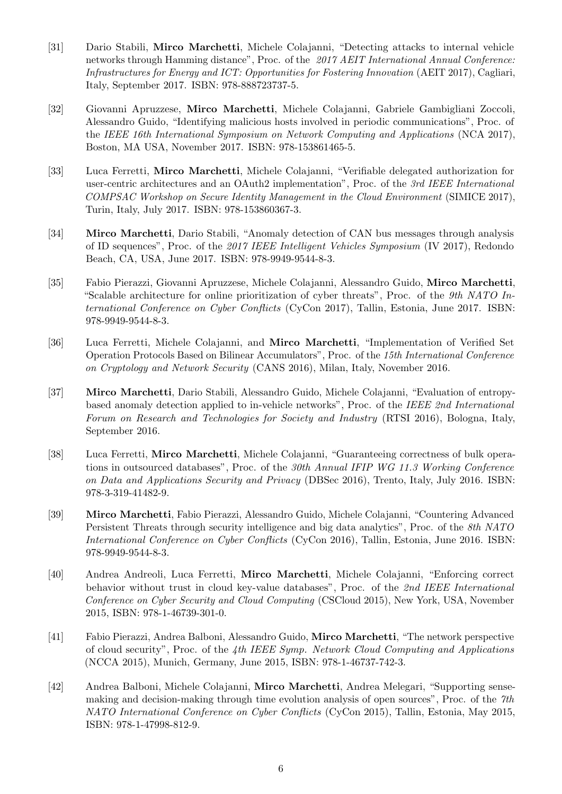- [31] Dario Stabili, Mirco Marchetti, Michele Colajanni, "Detecting attacks to internal vehicle networks through Hamming distance", Proc. of the 2017 AEIT International Annual Conference: Infrastructures for Energy and ICT: Opportunities for Fostering Innovation (AEIT 2017), Cagliari, Italy, September 2017. ISBN: 978-888723737-5.
- [32] Giovanni Apruzzese, Mirco Marchetti, Michele Colajanni, Gabriele Gambigliani Zoccoli, Alessandro Guido, "Identifying malicious hosts involved in periodic communications", Proc. of the IEEE 16th International Symposium on Network Computing and Applications (NCA 2017), Boston, MA USA, November 2017. ISBN: 978-153861465-5.
- [33] Luca Ferretti, Mirco Marchetti, Michele Colajanni, "Verifiable delegated authorization for user-centric architectures and an OAuth2 implementation", Proc. of the 3rd IEEE International COMPSAC Workshop on Secure Identity Management in the Cloud Environment (SIMICE 2017), Turin, Italy, July 2017. ISBN: 978-153860367-3.
- [34] Mirco Marchetti, Dario Stabili, "Anomaly detection of CAN bus messages through analysis of ID sequences", Proc. of the 2017 IEEE Intelligent Vehicles Symposium (IV 2017), Redondo Beach, CA, USA, June 2017. ISBN: 978-9949-9544-8-3.
- [35] Fabio Pierazzi, Giovanni Apruzzese, Michele Colajanni, Alessandro Guido, Mirco Marchetti, "Scalable architecture for online prioritization of cyber threats", Proc. of the 9th NATO International Conference on Cyber Conflicts (CyCon 2017), Tallin, Estonia, June 2017. ISBN: 978-9949-9544-8-3.
- [36] Luca Ferretti, Michele Colajanni, and Mirco Marchetti, "Implementation of Verified Set Operation Protocols Based on Bilinear Accumulators", Proc. of the 15th International Conference on Cryptology and Network Security (CANS 2016), Milan, Italy, November 2016.
- <span id="page-5-0"></span>[37] Mirco Marchetti, Dario Stabili, Alessandro Guido, Michele Colajanni, "Evaluation of entropybased anomaly detection applied to in-vehicle networks", Proc. of the IEEE 2nd International Forum on Research and Technologies for Society and Industry (RTSI 2016), Bologna, Italy, September 2016.
- [38] Luca Ferretti, Mirco Marchetti, Michele Colajanni, "Guaranteeing correctness of bulk operations in outsourced databases", Proc. of the 30th Annual IFIP WG 11.3 Working Conference on Data and Applications Security and Privacy (DBSec 2016), Trento, Italy, July 2016. ISBN: 978-3-319-41482-9.
- [39] Mirco Marchetti, Fabio Pierazzi, Alessandro Guido, Michele Colajanni, "Countering Advanced Persistent Threats through security intelligence and big data analytics", Proc. of the 8th NATO International Conference on Cyber Conflicts (CyCon 2016), Tallin, Estonia, June 2016. ISBN: 978-9949-9544-8-3.
- [40] Andrea Andreoli, Luca Ferretti, Mirco Marchetti, Michele Colajanni, "Enforcing correct behavior without trust in cloud key-value databases", Proc. of the 2nd IEEE International Conference on Cyber Security and Cloud Computing (CSCloud 2015), New York, USA, November 2015, ISBN: 978-1-46739-301-0.
- [41] Fabio Pierazzi, Andrea Balboni, Alessandro Guido, Mirco Marchetti, "The network perspective of cloud security", Proc. of the 4th IEEE Symp. Network Cloud Computing and Applications (NCCA 2015), Munich, Germany, June 2015, ISBN: 978-1-46737-742-3.
- [42] Andrea Balboni, Michele Colajanni, Mirco Marchetti, Andrea Melegari, "Supporting sensemaking and decision-making through time evolution analysis of open sources", Proc. of the 7th NATO International Conference on Cyber Conflicts (CyCon 2015), Tallin, Estonia, May 2015, ISBN: 978-1-47998-812-9.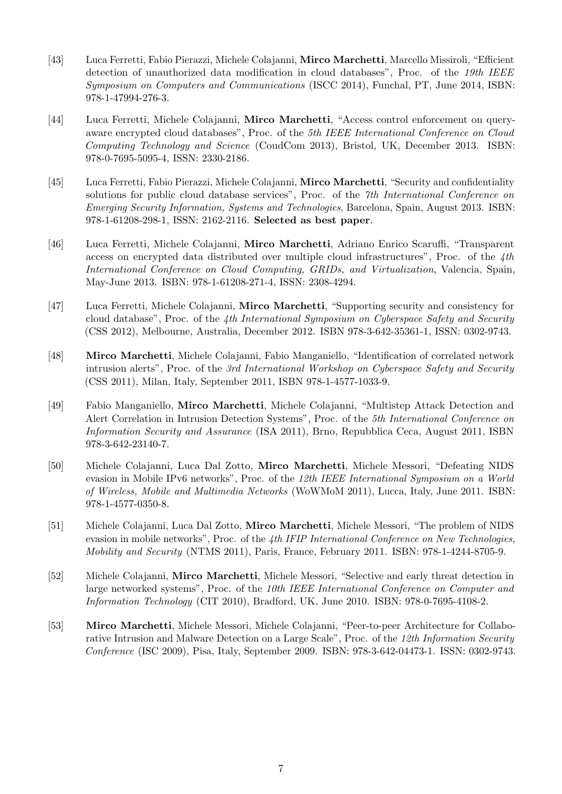- [43] Luca Ferretti, Fabio Pierazzi, Michele Colajanni, Mirco Marchetti, Marcello Missiroli, "Efficient detection of unauthorized data modification in cloud databases", Proc. of the 19th IEEE Symposium on Computers and Communications (ISCC 2014), Funchal, PT, June 2014, ISBN: 978-1-47994-276-3.
- [44] Luca Ferretti, Michele Colajanni, Mirco Marchetti, "Access control enforcement on queryaware encrypted cloud databases", Proc. of the 5th IEEE International Conference on Cloud Computing Technology and Science (CoudCom 2013), Bristol, UK, December 2013. ISBN: 978-0-7695-5095-4, ISSN: 2330-2186.
- <span id="page-6-0"></span>[45] Luca Ferretti, Fabio Pierazzi, Michele Colajanni, Mirco Marchetti, "Security and confidentiality solutions for public cloud database services", Proc. of the 7th International Conference on Emerging Security Information, Systems and Technologies, Barcelona, Spain, August 2013. ISBN: 978-1-61208-298-1, ISSN: 2162-2116. Selected as best paper.
- [46] Luca Ferretti, Michele Colajanni, Mirco Marchetti, Adriano Enrico Scaruffi, "Transparent access on encrypted data distributed over multiple cloud infrastructures", Proc. of the  $\mathcal{A}th$ International Conference on Cloud Computing, GRIDs, and Virtualization, Valencia, Spain, May-June 2013. ISBN: 978-1-61208-271-4, ISSN: 2308-4294.
- [47] Luca Ferretti, Michele Colajanni, Mirco Marchetti, "Supporting security and consistency for cloud database", Proc. of the 4th International Symposium on Cyberspace Safety and Security (CSS 2012), Melbourne, Australia, December 2012. ISBN 978-3-642-35361-1, ISSN: 0302-9743.
- [48] Mirco Marchetti, Michele Colajanni, Fabio Manganiello, "Identification of correlated network intrusion alerts", Proc. of the 3rd International Workshop on Cyberspace Safety and Security (CSS 2011), Milan, Italy, September 2011, ISBN 978-1-4577-1033-9.
- [49] Fabio Manganiello, Mirco Marchetti, Michele Colajanni, "Multistep Attack Detection and Alert Correlation in Intrusion Detection Systems", Proc. of the 5th International Conference on Information Security and Assurance (ISA 2011), Brno, Repubblica Ceca, August 2011, ISBN 978-3-642-23140-7.
- [50] Michele Colajanni, Luca Dal Zotto, Mirco Marchetti, Michele Messori, "Defeating NIDS evasion in Mobile IPv6 networks", Proc. of the 12th IEEE International Symposium on a World of Wireless, Mobile and Multimedia Networks (WoWMoM 2011), Lucca, Italy, June 2011. ISBN: 978-1-4577-0350-8.
- [51] Michele Colajanni, Luca Dal Zotto, Mirco Marchetti, Michele Messori, "The problem of NIDS evasion in mobile networks", Proc. of the  $4th$  IFIP International Conference on New Technologies, Mobility and Security (NTMS 2011), Paris, France, February 2011. ISBN: 978-1-4244-8705-9.
- <span id="page-6-2"></span>[52] Michele Colajanni, Mirco Marchetti, Michele Messori, "Selective and early threat detection in large networked systems", Proc. of the 10th IEEE International Conference on Computer and Information Technology (CIT 2010), Bradford, UK, June 2010. ISBN: 978-0-7695-4108-2.
- <span id="page-6-1"></span>[53] Mirco Marchetti, Michele Messori, Michele Colajanni, "Peer-to-peer Architecture for Collaborative Intrusion and Malware Detection on a Large Scale", Proc. of the 12th Information Security Conference (ISC 2009), Pisa, Italy, September 2009. ISBN: 978-3-642-04473-1. ISSN: 0302-9743.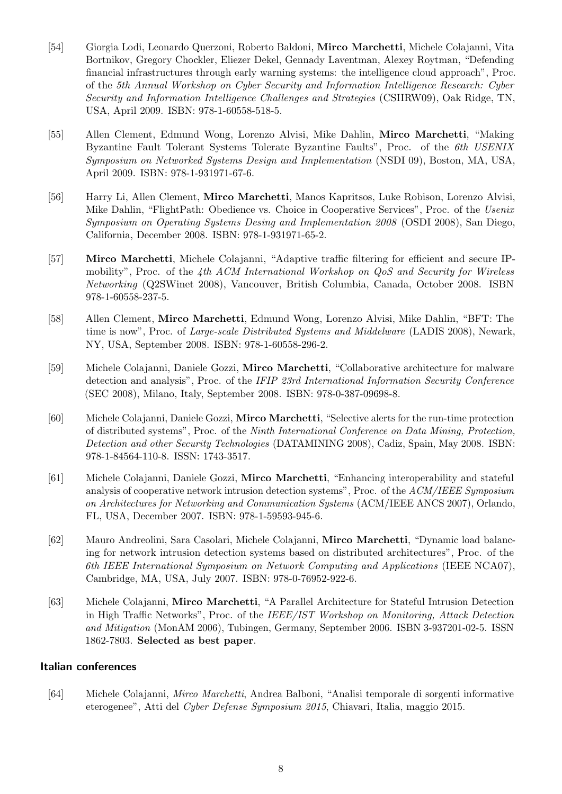- [54] Giorgia Lodi, Leonardo Querzoni, Roberto Baldoni, Mirco Marchetti, Michele Colajanni, Vita Bortnikov, Gregory Chockler, Eliezer Dekel, Gennady Laventman, Alexey Roytman, "Defending financial infrastructures through early warning systems: the intelligence cloud approach", Proc. of the 5th Annual Workshop on Cyber Security and Information Intelligence Research: Cyber Security and Information Intelligence Challenges and Strategies (CSIIRW09), Oak Ridge, TN, USA, April 2009. ISBN: 978-1-60558-518-5.
- [55] Allen Clement, Edmund Wong, Lorenzo Alvisi, Mike Dahlin, Mirco Marchetti, "Making Byzantine Fault Tolerant Systems Tolerate Byzantine Faults", Proc. of the 6th USENIX Symposium on Networked Systems Design and Implementation (NSDI 09), Boston, MA, USA, April 2009. ISBN: 978-1-931971-67-6.
- [56] Harry Li, Allen Clement, Mirco Marchetti, Manos Kapritsos, Luke Robison, Lorenzo Alvisi, Mike Dahlin, "FlightPath: Obedience vs. Choice in Cooperative Services", Proc. of the Usenix Symposium on Operating Systems Desing and Implementation 2008 (OSDI 2008), San Diego, California, December 2008. ISBN: 978-1-931971-65-2.
- [57] Mirco Marchetti, Michele Colajanni, "Adaptive traffic filtering for efficient and secure IPmobility", Proc. of the 4th ACM International Workshop on QoS and Security for Wireless Networking (Q2SWinet 2008), Vancouver, British Columbia, Canada, October 2008. ISBN 978-1-60558-237-5.
- [58] Allen Clement, Mirco Marchetti, Edmund Wong, Lorenzo Alvisi, Mike Dahlin, "BFT: The time is now", Proc. of Large-scale Distributed Systems and Middelware (LADIS 2008), Newark, NY, USA, September 2008. ISBN: 978-1-60558-296-2.
- [59] Michele Colajanni, Daniele Gozzi, Mirco Marchetti, "Collaborative architecture for malware detection and analysis", Proc. of the IFIP 23rd International Information Security Conference (SEC 2008), Milano, Italy, September 2008. ISBN: 978-0-387-09698-8.
- [60] Michele Colajanni, Daniele Gozzi, Mirco Marchetti, "Selective alerts for the run-time protection of distributed systems", Proc. of the Ninth International Conference on Data Mining, Protection, Detection and other Security Technologies (DATAMINING 2008), Cadiz, Spain, May 2008. ISBN: 978-1-84564-110-8. ISSN: 1743-3517.
- [61] Michele Colajanni, Daniele Gozzi, Mirco Marchetti, "Enhancing interoperability and stateful analysis of cooperative network intrusion detection systems", Proc. of the ACM/IEEE Symposium on Architectures for Networking and Communication Systems (ACM/IEEE ANCS 2007), Orlando, FL, USA, December 2007. ISBN: 978-1-59593-945-6.
- [62] Mauro Andreolini, Sara Casolari, Michele Colajanni, Mirco Marchetti, "Dynamic load balancing for network intrusion detection systems based on distributed architectures", Proc. of the 6th IEEE International Symposium on Network Computing and Applications (IEEE NCA07), Cambridge, MA, USA, July 2007. ISBN: 978-0-76952-922-6.
- <span id="page-7-0"></span>[63] Michele Colajanni, Mirco Marchetti, "A Parallel Architecture for Stateful Intrusion Detection in High Traffic Networks", Proc. of the IEEE/IST Workshop on Monitoring, Attack Detection and Mitigation (MonAM 2006), Tubingen, Germany, September 2006. ISBN 3-937201-02-5. ISSN 1862-7803. Selected as best paper.

#### Italian conferences

[64] Michele Colajanni, Mirco Marchetti, Andrea Balboni, "Analisi temporale di sorgenti informative eterogenee", Atti del Cyber Defense Symposium 2015, Chiavari, Italia, maggio 2015.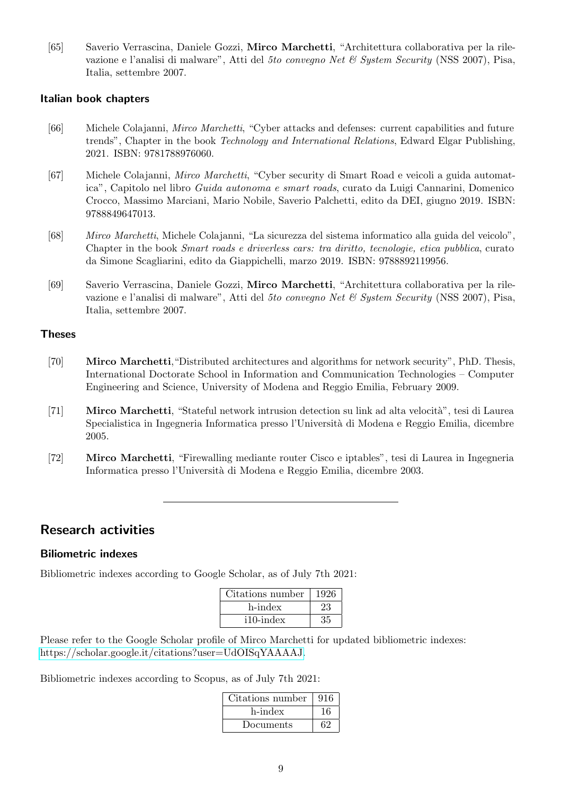[65] Saverio Verrascina, Daniele Gozzi, Mirco Marchetti, "Architettura collaborativa per la rilevazione e l'analisi di malware", Atti del 5to convegno Net & System Security (NSS 2007), Pisa, Italia, settembre 2007.

#### Italian book chapters

- [66] Michele Colajanni, Mirco Marchetti, "Cyber attacks and defenses: current capabilities and future trends", Chapter in the book Technology and International Relations, Edward Elgar Publishing, 2021. ISBN: 9781788976060.
- [67] Michele Colajanni, Mirco Marchetti, "Cyber security di Smart Road e veicoli a guida automatica", Capitolo nel libro Guida autonoma e smart roads, curato da Luigi Cannarini, Domenico Crocco, Massimo Marciani, Mario Nobile, Saverio Palchetti, edito da DEI, giugno 2019. ISBN: 9788849647013.
- [68] Mirco Marchetti, Michele Colajanni, "La sicurezza del sistema informatico alla guida del veicolo", Chapter in the book Smart roads e driverless cars: tra diritto, tecnologie, etica pubblica, curato da Simone Scagliarini, edito da Giappichelli, marzo 2019. ISBN: 9788892119956.
- [69] Saverio Verrascina, Daniele Gozzi, Mirco Marchetti, "Architettura collaborativa per la rilevazione e l'analisi di malware", Atti del 5to convegno Net & System Security (NSS 2007), Pisa, Italia, settembre 2007.

### Theses

- [70] Mirco Marchetti,"Distributed architectures and algorithms for network security", PhD. Thesis, International Doctorate School in Information and Communication Technologies – Computer Engineering and Science, University of Modena and Reggio Emilia, February 2009.
- [71] **Mirco Marchetti**, "Stateful network intrusion detection su link ad alta velocità", tesi di Laurea Specialistica in Ingegneria Informatica presso l'Università di Modena e Reggio Emilia, dicembre 2005.
- [72] Mirco Marchetti, "Firewalling mediante router Cisco e iptables", tesi di Laurea in Ingegneria Informatica presso l'Università di Modena e Reggio Emilia, dicembre 2003.

# Research activities

### Biliometric indexes

Bibliometric indexes according to Google Scholar, as of July 7th 2021:

| Citations number | 1926 |
|------------------|------|
| h-index          | 23   |
| $i10$ -index     | つら   |

Please refer to the Google Scholar profile of Mirco Marchetti for updated bibliometric indexes: [https://scholar.google.it/citations?user=UdOISqYAAAAJ.](https://scholar.google.it/citations?user=UdOISqYAAAAJ)

Bibliometric indexes according to Scopus, as of July 7th 2021:

| Citations number | 916 |
|------------------|-----|
| h-index          | 16  |
| Documents        | 62  |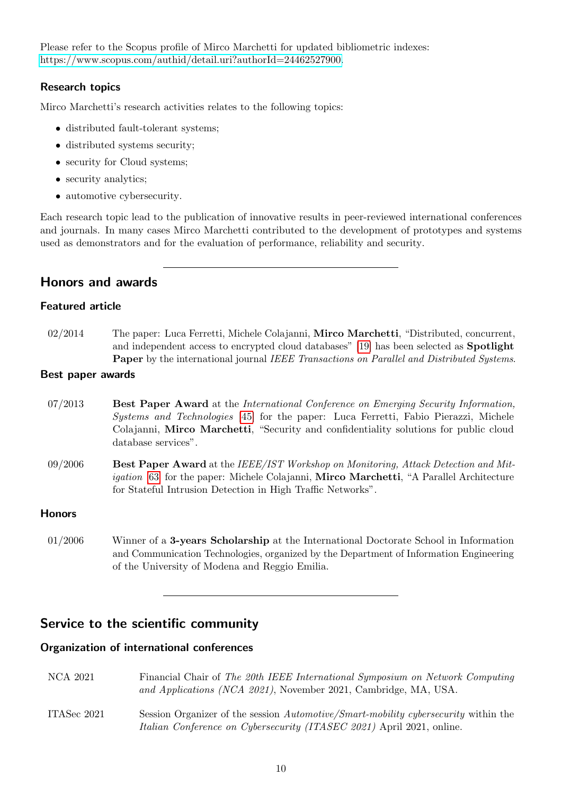Please refer to the Scopus profile of Mirco Marchetti for updated bibliometric indexes: [https://www.scopus.com/authid/detail.uri?authorId=24462527900.](https://www.scopus.com/authid/detail.uri?authorId=24462527900)

## Research topics

Mirco Marchetti's research activities relates to the following topics:

- distributed fault-tolerant systems;
- distributed systems security;
- security for Cloud systems;
- security analytics;
- automotive cybersecurity.

Each research topic lead to the publication of innovative results in peer-reviewed international conferences and journals. In many cases Mirco Marchetti contributed to the development of prototypes and systems used as demonstrators and for the evaluation of performance, reliability and security.

# Honors and awards

# Featured article

02/2014 The paper: Luca Ferretti, Michele Colajanni, **Mirco Marchetti**, "Distributed, concurrent, and independent access to encrypted cloud databases" [\[19\]](#page-3-0) has been selected as Spotlight Paper by the international journal IEEE Transactions on Parallel and Distributed Systems.

### Best paper awards

- 07/2013 Best Paper Award at the International Conference on Emerging Security Information, Systems and Technologies [\[45\]](#page-6-0) for the paper: Luca Ferretti, Fabio Pierazzi, Michele Colajanni, Mirco Marchetti, "Security and confidentiality solutions for public cloud database services".
- 09/2006 Best Paper Award at the IEEE/IST Workshop on Monitoring, Attack Detection and Mit-igation [\[63\]](#page-7-0) for the paper: Michele Colajanni, Mirco Marchetti, "A Parallel Architecture for Stateful Intrusion Detection in High Traffic Networks".

### **Honors**

01/2006 Winner of a 3-years Scholarship at the International Doctorate School in Information and Communication Technologies, organized by the Department of Information Engineering of the University of Modena and Reggio Emilia.

# Service to the scientific community

### Organization of international conferences

NCA 2021 Financial Chair of The 20th IEEE International Symposium on Network Computing and Applications (NCA 2021), November 2021, Cambridge, MA, USA. ITASec 2021 Session Organizer of the session Automotive/Smart-mobility cybersecurity within the Italian Conference on Cybersecurity (ITASEC 2021) April 2021, online.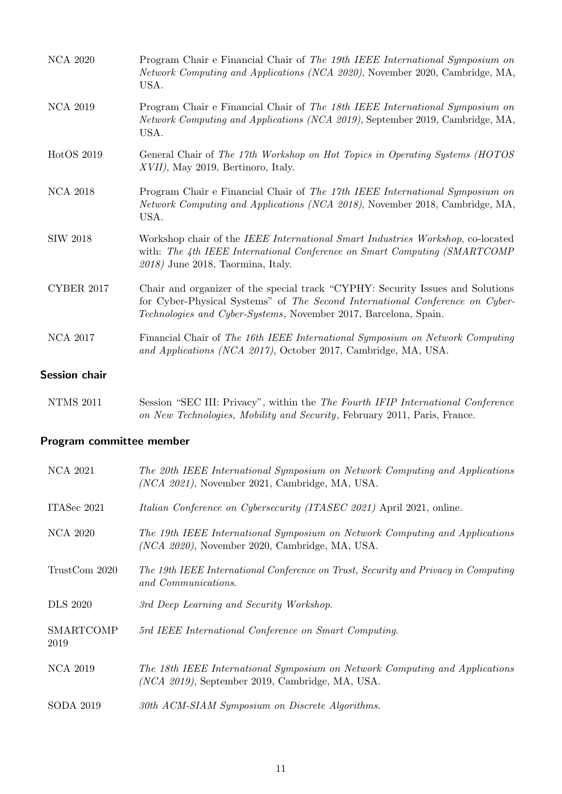| <b>NCA 2017</b>   | Technologies and Cyber-Systems, November 2017, Barcelona, Spain.<br>Financial Chair of The 16th IEEE International Symposium on Network Computing<br>and Applications (NCA 2017), October 2017, Cambridge, MA, USA. |
|-------------------|---------------------------------------------------------------------------------------------------------------------------------------------------------------------------------------------------------------------|
| <b>CYBER 2017</b> | Chair and organizer of the special track "CYPHY: Security Issues and Solutions"<br>for Cyber-Physical Systems" of The Second International Conference on Cyber-                                                     |
| <b>SIW 2018</b>   | Workshop chair of the <i>IEEE International Smart Industries Workshop</i> , co-located<br>with: The 4th IEEE International Conference on Smart Computing (SMARTCOMP)<br>$2018$ ) June 2018, Taormina, Italy.        |
| <b>NCA 2018</b>   | Program Chair e Financial Chair of The 17th IEEE International Symposium on<br><i>Network Computing and Applications (NCA 2018)</i> , November 2018, Cambridge, MA,<br>USA.                                         |
| HotOS 2019        | General Chair of The 17th Workshop on Hot Topics in Operating Systems (HOTOS)<br>$XVII$ , May 2019, Bertinoro, Italy.                                                                                               |
| <b>NCA 2019</b>   | Program Chair e Financial Chair of The 18th IEEE International Symposium on<br><i>Network Computing and Applications (NCA 2019)</i> , September 2019, Cambridge, MA,<br>USA.                                        |
| <b>NCA 2020</b>   | Program Chair e Financial Chair of The 19th IEEE International Symposium on<br><i>Network Computing and Applications (NCA 2020)</i> , November 2020, Cambridge, MA,<br>USA.                                         |

# NTMS 2011 Session "SEC III: Privacy", within the The Fourth IFIP International Conference on New Technologies, Mobility and Security, February 2011, Paris, France.

# Program committee member

| <b>NCA 2021</b>   | The 20th IEEE International Symposium on Network Computing and Applications<br>$(NCA 2021)$ , November 2021, Cambridge, MA, USA.  |
|-------------------|-----------------------------------------------------------------------------------------------------------------------------------|
| ITASec 2021       | <i>Italian Conference on Cybersecurity (ITASEC 2021)</i> April 2021, online.                                                      |
| NCA 2020          | The 19th IEEE International Symposium on Network Computing and Applications<br>$(NCA 2020)$ , November 2020, Cambridge, MA, USA.  |
| TrustCom 2020     | The 19th IEEE International Conference on Trust, Security and Privacy in Computing<br>and Communications.                         |
| <b>DLS</b> 2020   | 3rd Deep Learning and Security Workshop.                                                                                          |
| SMARTCOMP<br>2019 | 5rd IEEE International Conference on Smart Computing.                                                                             |
| <b>NCA 2019</b>   | The 18th IEEE International Symposium on Network Computing and Applications<br>$(NCA 2019)$ , September 2019, Cambridge, MA, USA. |
| <b>SODA 2019</b>  | 30th ACM-SIAM Symposium on Discrete Algorithms.                                                                                   |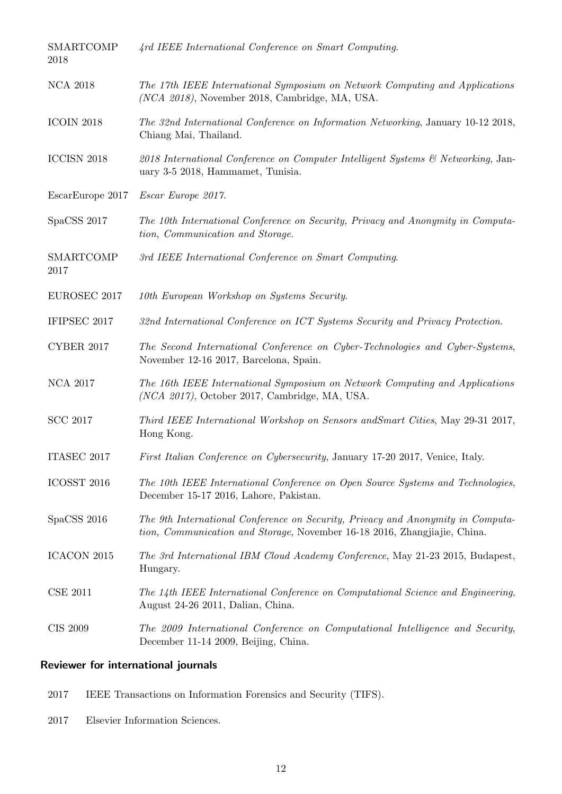| SMARTCOMP<br>2018 | 4rd IEEE International Conference on Smart Computing.                                                                                                        |
|-------------------|--------------------------------------------------------------------------------------------------------------------------------------------------------------|
| <b>NCA 2018</b>   | The 17th IEEE International Symposium on Network Computing and Applications<br>(NCA 2018), November 2018, Cambridge, MA, USA.                                |
| <b>ICOIN 2018</b> | The 32nd International Conference on Information Networking, January 10-12 2018,<br>Chiang Mai, Thailand.                                                    |
| ICCISN 2018       | 2018 International Conference on Computer Intelligent Systems & Networking, Jan-<br>uary 3-5 2018, Hammamet, Tunisia.                                        |
| EscarEurope 2017  | Escar Europe 2017.                                                                                                                                           |
| SpaCSS 2017       | The 10th International Conference on Security, Privacy and Anonymity in Computa-<br>tion, Communication and Storage.                                         |
| SMARTCOMP<br>2017 | 3rd IEEE International Conference on Smart Computing.                                                                                                        |
| EUROSEC 2017      | 10th European Workshop on Systems Security.                                                                                                                  |
| IFIPSEC 2017      | 32nd International Conference on ICT Systems Security and Privacy Protection.                                                                                |
| CYBER 2017        | The Second International Conference on Cyber-Technologies and Cyber-Systems,<br>November 12-16 2017, Barcelona, Spain.                                       |
| <b>NCA 2017</b>   | The 16th IEEE International Symposium on Network Computing and Applications<br>$(NCA 2017)$ , October 2017, Cambridge, MA, USA.                              |
| <b>SCC 2017</b>   | Third IEEE International Workshop on Sensors and Smart Cities, May 29-31 2017,<br>Hong Kong.                                                                 |
| ITASEC 2017       | First Italian Conference on Cybersecurity, January 17-20 2017, Venice, Italy.                                                                                |
| ICOSST 2016       | The 10th IEEE International Conference on Open Source Systems and Technologies,<br>December 15-17 2016, Lahore, Pakistan.                                    |
| SpaCSS 2016       | The 9th International Conference on Security, Privacy and Anonymity in Computa-<br>tion, Communication and Storage, November 16-18 2016, Zhangjiajie, China. |
| ICACON 2015       | The 3rd International IBM Cloud Academy Conference, May 21-23 2015, Budapest,<br>Hungary.                                                                    |
| <b>CSE 2011</b>   | The 14th IEEE International Conference on Computational Science and Engineering,<br>August 24-26 2011, Dalian, China.                                        |
| <b>CIS 2009</b>   | The 2009 International Conference on Computational Intelligence and Security,<br>December 11-14 2009, Beijing, China.                                        |

# Reviewer for international journals

- 2017 IEEE Transactions on Information Forensics and Security (TIFS).
- 2017 Elsevier Information Sciences.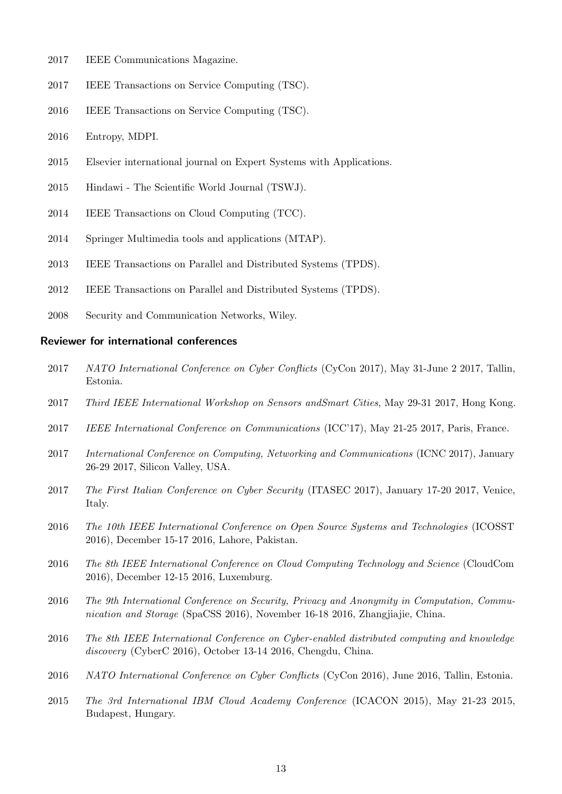- 2017 IEEE Communications Magazine.
- 2017 IEEE Transactions on Service Computing (TSC).
- 2016 IEEE Transactions on Service Computing (TSC).
- 2016 Entropy, MDPI.
- 2015 Elsevier international journal on Expert Systems with Applications.
- 2015 Hindawi The Scientific World Journal (TSWJ).
- 2014 IEEE Transactions on Cloud Computing (TCC).
- 2014 Springer Multimedia tools and applications (MTAP).
- 2013 IEEE Transactions on Parallel and Distributed Systems (TPDS).
- 2012 IEEE Transactions on Parallel and Distributed Systems (TPDS).
- 2008 Security and Communication Networks, Wiley.

#### Reviewer for international conferences

- 2017 NATO International Conference on Cyber Conflicts (CyCon 2017), May 31-June 2 2017, Tallin, Estonia.
- 2017 Third IEEE International Workshop on Sensors andSmart Cities, May 29-31 2017, Hong Kong.
- 2017 IEEE International Conference on Communications (ICC'17), May 21-25 2017, Paris, France.
- 2017 International Conference on Computing, Networking and Communications (ICNC 2017), January 26-29 2017, Silicon Valley, USA.
- 2017 The First Italian Conference on Cyber Security (ITASEC 2017), January 17-20 2017, Venice, Italy.
- 2016 The 10th IEEE International Conference on Open Source Systems and Technologies (ICOSST 2016), December 15-17 2016, Lahore, Pakistan.
- 2016 The 8th IEEE International Conference on Cloud Computing Technology and Science (CloudCom 2016), December 12-15 2016, Luxemburg.
- 2016 The 9th International Conference on Security, Privacy and Anonymity in Computation, Communication and Storage (SpaCSS 2016), November 16-18 2016, Zhangjiajie, China.
- 2016 The 8th IEEE International Conference on Cyber-enabled distributed computing and knowledge discovery (CyberC 2016), October 13-14 2016, Chengdu, China.
- 2016 NATO International Conference on Cyber Conflicts (CyCon 2016), June 2016, Tallin, Estonia.
- 2015 The 3rd International IBM Cloud Academy Conference (ICACON 2015), May 21-23 2015, Budapest, Hungary.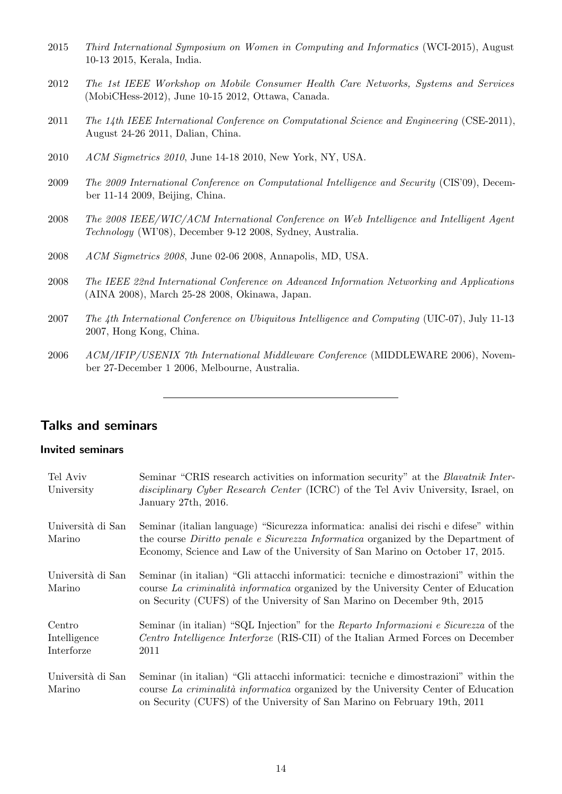- 2015 Third International Symposium on Women in Computing and Informatics (WCI-2015), August 10-13 2015, Kerala, India.
- 2012 The 1st IEEE Workshop on Mobile Consumer Health Care Networks, Systems and Services (MobiCHess-2012), June 10-15 2012, Ottawa, Canada.
- 2011 The 14th IEEE International Conference on Computational Science and Engineering (CSE-2011), August 24-26 2011, Dalian, China.
- 2010 ACM Sigmetrics 2010, June 14-18 2010, New York, NY, USA.
- 2009 The 2009 International Conference on Computational Intelligence and Security (CIS'09), December 11-14 2009, Beijing, China.
- 2008 The 2008 IEEE/WIC/ACM International Conference on Web Intelligence and Intelligent Agent Technology (WI'08), December 9-12 2008, Sydney, Australia.
- 2008 ACM Sigmetrics 2008, June 02-06 2008, Annapolis, MD, USA.
- 2008 The IEEE 22nd International Conference on Advanced Information Networking and Applications (AINA 2008), March 25-28 2008, Okinawa, Japan.
- 2007 The 4th International Conference on Ubiquitous Intelligence and Computing (UIC-07), July 11-13 2007, Hong Kong, China.
- 2006 ACM/IFIP/USENIX 7th International Middleware Conference (MIDDLEWARE 2006), November 27-December 1 2006, Melbourne, Australia.

# Talks and seminars

### Invited seminars

| Tel Aviv<br>University               | Seminar "CRIS research activities on information security" at the <i>Blavatnik Inter-</i><br>disciplinary Cyber Research Center (ICRC) of the Tel Aviv University, Israel, on<br>January 27th, 2016.                                                               |
|--------------------------------------|--------------------------------------------------------------------------------------------------------------------------------------------------------------------------------------------------------------------------------------------------------------------|
| Università di San<br>Marino          | Seminar (italian language) "Sicurezza informatica: analisi dei rischi e difese" within<br>the course <i>Diritto penale e Sicurezza Informatica</i> organized by the Department of<br>Economy, Science and Law of the University of San Marino on October 17, 2015. |
| Università di San<br>Marino          | Seminar (in italian) "Gli attacchi informatici: tecniche e dimostrazioni" within the<br>course La criminalità informatica organized by the University Center of Education<br>on Security (CUFS) of the University of San Marino on December 9th, 2015              |
| Centro<br>Intelligence<br>Interforze | Seminar (in italian) "SQL Injection" for the Reparto Informazioni e Sicurezza of the<br>Centro Intelligence Interforze (RIS-CII) of the Italian Armed Forces on December<br>2011                                                                                   |
| Università di San<br>Marino          | Seminar (in italian) "Gli attacchi informatici: tecniche e dimostrazioni" within the<br>course La criminalità informatica organized by the University Center of Education<br>on Security (CUFS) of the University of San Marino on February 19th, 2011             |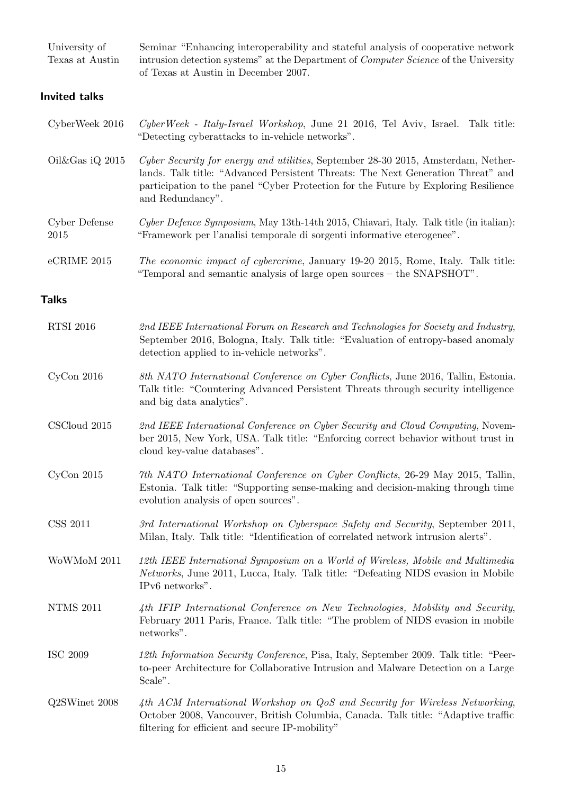| University of<br>Texas at Austin | Seminar "Enhancing interoperability and stateful analysis of cooperative network<br>intrusion detection systems" at the Department of Computer Science of the University<br>of Texas at Austin in December 2007.                                                                 |
|----------------------------------|----------------------------------------------------------------------------------------------------------------------------------------------------------------------------------------------------------------------------------------------------------------------------------|
| <b>Invited talks</b>             |                                                                                                                                                                                                                                                                                  |
| CyberWeek 2016                   | CyberWeek - Italy-Israel Workshop, June 21 2016, Tel Aviv, Israel. Talk title:<br>"Detecting cyberattacks to in-vehicle networks".                                                                                                                                               |
| Oil&Gas iQ 2015                  | Cyber Security for energy and utilities, September 28-30 2015, Amsterdam, Nether-<br>lands. Talk title: "Advanced Persistent Threats: The Next Generation Threat" and<br>participation to the panel "Cyber Protection for the Future by Exploring Resilience<br>and Redundancy". |
| Cyber Defense<br>2015            | Cyber Defence Symposium, May 13th-14th 2015, Chiavari, Italy. Talk title (in italian):<br>"Framework per l'analisi temporale di sorgenti informative eterogenee".                                                                                                                |
| eCRIME 2015                      | The economic impact of cybercrime, January 19-20 2015, Rome, Italy. Talk title:<br>"Temporal and semantic analysis of large open sources – the SNAPSHOT".                                                                                                                        |
| <b>Talks</b>                     |                                                                                                                                                                                                                                                                                  |
| <b>RTSI 2016</b>                 | 2nd IEEE International Forum on Research and Technologies for Society and Industry,<br>September 2016, Bologna, Italy. Talk title: "Evaluation of entropy-based anomaly<br>detection applied to in-vehicle networks".                                                            |
| $CyCon$ 2016                     | 8th NATO International Conference on Cyber Conflicts, June 2016, Tallin, Estonia.<br>Talk title: "Countering Advanced Persistent Threats through security intelligence<br>and big data analytics".                                                                               |
| CSCloud 2015                     | 2nd IEEE International Conference on Cyber Security and Cloud Computing, Novem-<br>ber 2015, New York, USA. Talk title: "Enforcing correct behavior without trust in<br>cloud key-value databases".                                                                              |
| $CyCon$ 2015                     | 7th NATO International Conference on Cyber Conflicts, 26-29 May 2015, Tallin,<br>Estonia. Talk title: "Supporting sense-making and decision-making through time<br>evolution analysis of open sources".                                                                          |
| <b>CSS 2011</b>                  | 3rd International Workshop on Cyberspace Safety and Security, September 2011,<br>Milan, Italy. Talk title: "Identification of correlated network intrusion alerts".                                                                                                              |
| WoWMoM 2011                      | 12th IEEE International Symposium on a World of Wireless, Mobile and Multimedia<br><i>Networks</i> , June 2011, Lucca, Italy. Talk title: "Defeating NIDS evasion in Mobile<br>IPv6 networks".                                                                                   |
| <b>NTMS 2011</b>                 | 4th IFIP International Conference on New Technologies, Mobility and Security,<br>February 2011 Paris, France. Talk title: "The problem of NIDS evasion in mobile<br>networks".                                                                                                   |
| <b>ISC 2009</b>                  | 12th Information Security Conference, Pisa, Italy, September 2009. Talk title: "Peer-<br>to-peer Architecture for Collaborative Intrusion and Malware Detection on a Large<br>Scale".                                                                                            |
| Q2SWinet 2008                    | 4th ACM International Workshop on QoS and Security for Wireless Networking,<br>October 2008, Vancouver, British Columbia, Canada. Talk title: "Adaptive traffic<br>filtering for efficient and secure IP-mobility"                                                               |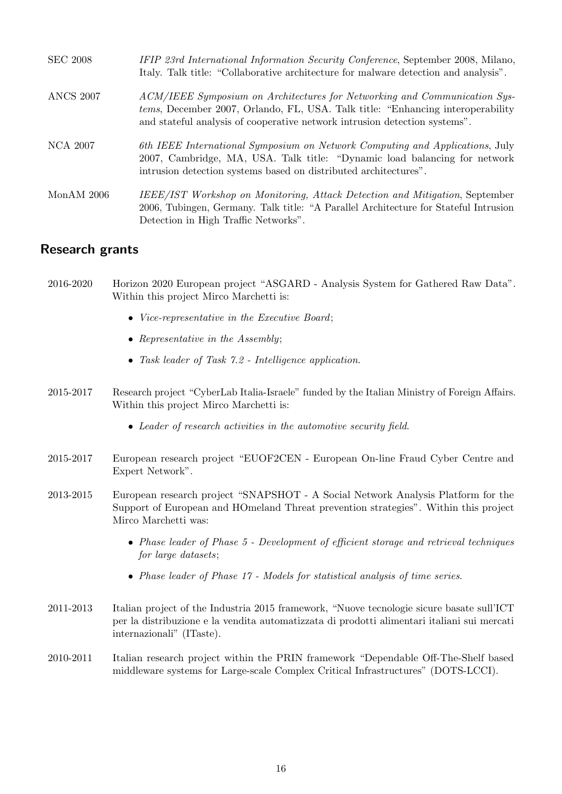| <b>SEC 2008</b>  | IFIP 23rd International Information Security Conference, September 2008, Milano,<br>Italy. Talk title: "Collaborative architecture for malware detection and analysis".                                                                            |
|------------------|----------------------------------------------------------------------------------------------------------------------------------------------------------------------------------------------------------------------------------------------------|
| <b>ANCS 2007</b> | ACM/IEEE Symposium on Architectures for Networking and Communication Sys-<br><i>tems</i> , December 2007, Orlando, FL, USA. Talk title: "Enhancing interoperability"<br>and stateful analysis of cooperative network intrusion detection systems". |
| NCA 2007         | 6th IEEE International Symposium on Network Computing and Applications, July<br>2007, Cambridge, MA, USA. Talk title: "Dynamic load balancing for network"<br>intrusion detection systems based on distributed architectures".                     |
| Mon $AM$ 2006    | IEEE/IST Workshop on Monitoring, Attack Detection and Mitigation, September<br>2006, Tubingen, Germany. Talk title: "A Parallel Architecture for Stateful Intrusion<br>Detection in High Traffic Networks".                                        |

# Research grants

- 2016-2020 Horizon 2020 European project "ASGARD Analysis System for Gathered Raw Data". Within this project Mirco Marchetti is:
	- Vice-representative in the Executive Board;
	- Representative in the Assembly:
	- Task leader of Task 7.2 Intelligence application.
- 2015-2017 Research project "CyberLab Italia-Israele" funded by the Italian Ministry of Foreign Affairs. Within this project Mirco Marchetti is:
	- Leader of research activities in the automotive security field.
- 2015-2017 European research project "EUOF2CEN European On-line Fraud Cyber Centre and Expert Network".
- 2013-2015 European research project "SNAPSHOT A Social Network Analysis Platform for the Support of European and HOmeland Threat prevention strategies". Within this project Mirco Marchetti was:
	- Phase leader of Phase 5 Development of efficient storage and retrieval techniques for large datasets;
	- Phase leader of Phase 17 Models for statistical analysis of time series.
- 2011-2013 Italian project of the Industria 2015 framework, "Nuove tecnologie sicure basate sull'ICT per la distribuzione e la vendita automatizzata di prodotti alimentari italiani sui mercati internazionali" (ITaste).
- 2010-2011 Italian research project within the PRIN framework "Dependable Off-The-Shelf based middleware systems for Large-scale Complex Critical Infrastructures" (DOTS-LCCI).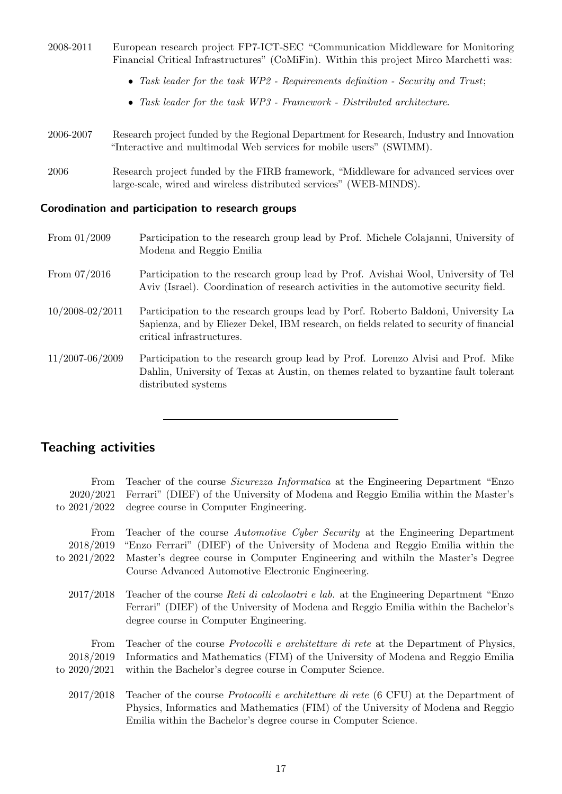- 2008-2011 European research project FP7-ICT-SEC "Communication Middleware for Monitoring Financial Critical Infrastructures" (CoMiFin). Within this project Mirco Marchetti was:
	- Task leader for the task WP2 Requirements definition Security and Trust;
	- Task leader for the task WP3 Framework Distributed architecture.
- 2006-2007 Research project funded by the Regional Department for Research, Industry and Innovation "Interactive and multimodal Web services for mobile users" (SWIMM).
- 2006 Research project funded by the FIRB framework, "Middleware for advanced services over large-scale, wired and wireless distributed services" (WEB-MINDS).

#### Corodination and participation to research groups

- From 01/2009 Participation to the research group lead by Prof. Michele Colajanni, University of Modena and Reggio Emilia
- From 07/2016 Participation to the research group lead by Prof. Avishai Wool, University of Tel Aviv (Israel). Coordination of research activities in the automotive security field.
- 10/2008-02/2011 Participation to the research groups lead by Porf. Roberto Baldoni, University La Sapienza, and by Eliezer Dekel, IBM research, on fields related to security of financial critical infrastructures.
- 11/2007-06/2009 Participation to the research group lead by Prof. Lorenzo Alvisi and Prof. Mike Dahlin, University of Texas at Austin, on themes related to byzantine fault tolerant distributed systems

# Teaching activities

| From<br>2020/2021<br>to $2021/2022$ | Teacher of the course <i>Sicurezza Informatica</i> at the Engineering Department "Enzo"<br>Ferrari" (DIEF) of the University of Modena and Reggio Emilia within the Master's<br>degree course in Computer Engineering.                                                                                  |
|-------------------------------------|---------------------------------------------------------------------------------------------------------------------------------------------------------------------------------------------------------------------------------------------------------------------------------------------------------|
| From<br>2018/2019<br>to $2021/2022$ | Teacher of the course Automotive Cyber Security at the Engineering Department<br>"Enzo Ferrari" (DIEF) of the University of Modena and Reggio Emilia within the<br>Master's degree course in Computer Engineering and withiln the Master's Degree<br>Course Advanced Automotive Electronic Engineering. |
| 2017/2018                           | Teacher of the course <i>Reti di calcolaotri e lab.</i> at the Engineering Department "Enzo"<br>Ferrari" (DIEF) of the University of Modena and Reggio Emilia within the Bachelor's<br>degree course in Computer Engineering.                                                                           |
| From<br>2018/2019<br>to $2020/2021$ | Teacher of the course <i>Protocolli e architetture di rete</i> at the Department of Physics,<br>Informatics and Mathematics (FIM) of the University of Modena and Reggio Emilia<br>within the Bachelor's degree course in Computer Science.                                                             |
| 2017/2018                           | Teacher of the course <i>Protocolli e architetture di rete</i> (6 CFU) at the Department of<br>Physics, Informatics and Mathematics (FIM) of the University of Modena and Reggio<br>Emilia within the Bachelor's degree course in Computer Science.                                                     |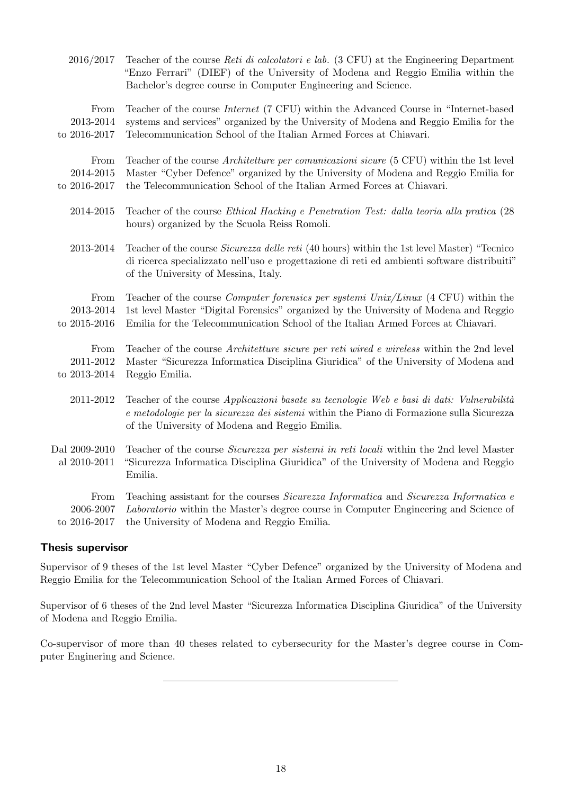| 2016/2017                     | Teacher of the course Reti di calcolatori e lab. (3 CFU) at the Engineering Department<br>"Enzo Ferrari" (DIEF) of the University of Modena and Reggio Emilia within the<br>Bachelor's degree course in Computer Engineering and Science.       |
|-------------------------------|-------------------------------------------------------------------------------------------------------------------------------------------------------------------------------------------------------------------------------------------------|
| From                          | Teacher of the course <i>Internet</i> (7 CFU) within the Advanced Course in "Internet-based                                                                                                                                                     |
| 2013-2014                     | systems and services" organized by the University of Modena and Reggio Emilia for the                                                                                                                                                           |
| to 2016-2017                  | Telecommunication School of the Italian Armed Forces at Chiavari.                                                                                                                                                                               |
| From                          | Teacher of the course Architetture per comunicazioni sicure (5 CFU) within the 1st level                                                                                                                                                        |
| 2014-2015                     | Master "Cyber Defence" organized by the University of Modena and Reggio Emilia for                                                                                                                                                              |
| to 2016-2017                  | the Telecommunication School of the Italian Armed Forces at Chiavari.                                                                                                                                                                           |
| 2014-2015                     | Teacher of the course <i>Ethical Hacking e Penetration Test: dalla teoria alla pratica</i> (28)<br>hours) organized by the Scuola Reiss Romoli.                                                                                                 |
| 2013-2014                     | Teacher of the course <i>Sicurezza delle reti</i> (40 hours) within the 1st level Master) "Tecnico<br>di ricerca specializzato nell'uso e progettazione di reti ed ambienti software distribuiti"<br>of the University of Messina, Italy.       |
| From                          | Teacher of the course <i>Computer forensics per systemi Unix/Linux</i> (4 CFU) within the                                                                                                                                                       |
| 2013-2014                     | 1st level Master "Digital Forensics" organized by the University of Modena and Reggio                                                                                                                                                           |
| to 2015-2016                  | Emilia for the Telecommunication School of the Italian Armed Forces at Chiavari.                                                                                                                                                                |
| From                          | Teacher of the course <i>Architetture sicure per reti wired e wireless</i> within the 2nd level                                                                                                                                                 |
| 2011-2012                     | Master "Sicurezza Informatica Disciplina Giuridica" of the University of Modena and                                                                                                                                                             |
| to 2013-2014                  | Reggio Emilia.                                                                                                                                                                                                                                  |
| 2011-2012                     | Teacher of the course <i>Applicazioni</i> basate su tecnologie Web e basi di dati: Vulnerabilità<br>e metodologie per la sicurezza dei sistemi within the Piano di Formazione sulla Sicurezza<br>of the University of Modena and Reggio Emilia. |
| Dal 2009-2010<br>al 2010-2011 | Teacher of the course <i>Sicurezza per sistemi in reti locali</i> within the 2nd level Master<br>"Sicurezza Informatica Disciplina Giuridica" of the University of Modena and Reggio<br>Emilia.                                                 |
| From                          | Teaching assistant for the courses Sicurezza Informatica and Sicurezza Informatica e                                                                                                                                                            |
| 2006-2007                     | Laboratorio within the Master's degree course in Computer Engineering and Science of                                                                                                                                                            |
| to 2016-2017                  | the University of Modena and Reggio Emilia.                                                                                                                                                                                                     |

#### Thesis supervisor

Supervisor of 9 theses of the 1st level Master "Cyber Defence" organized by the University of Modena and Reggio Emilia for the Telecommunication School of the Italian Armed Forces of Chiavari.

Supervisor of 6 theses of the 2nd level Master "Sicurezza Informatica Disciplina Giuridica" of the University of Modena and Reggio Emilia.

Co-supervisor of more than 40 theses related to cybersecurity for the Master's degree course in Computer Enginering and Science.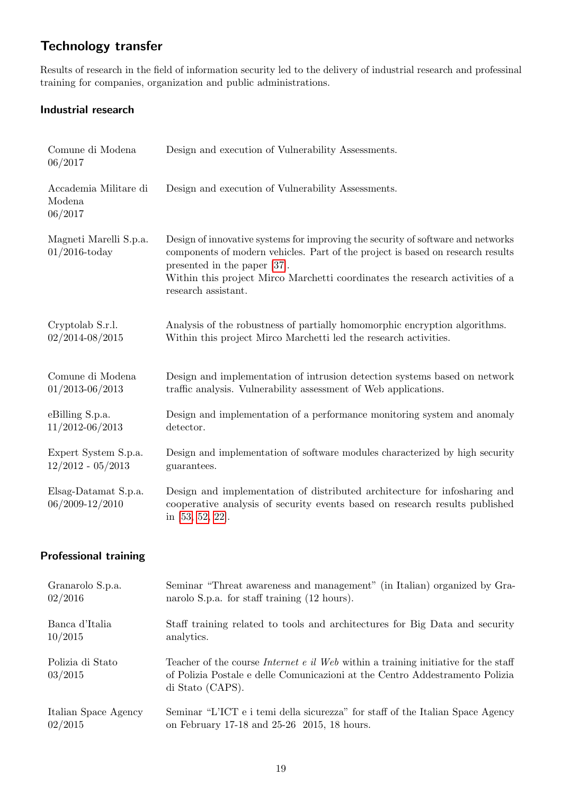# Technology transfer

Results of research in the field of information security led to the delivery of industrial research and professinal training for companies, organization and public administrations.

# Industrial research

| Comune di Modena<br>06/2017                 | Design and execution of Vulnerability Assessments.                                                                                                                                                                                                                                                         |  |  |  |
|---------------------------------------------|------------------------------------------------------------------------------------------------------------------------------------------------------------------------------------------------------------------------------------------------------------------------------------------------------------|--|--|--|
| Accademia Militare di<br>Modena<br>06/2017  | Design and execution of Vulnerability Assessments.                                                                                                                                                                                                                                                         |  |  |  |
| Magneti Marelli S.p.a.<br>$01/2016$ -today  | Design of innovative systems for improving the security of software and networks<br>components of modern vehicles. Part of the project is based on research results<br>presented in the paper [37].<br>Within this project Mirco Marchetti coordinates the research activities of a<br>research assistant. |  |  |  |
| Cryptolab S.r.l.<br>$02/2014 - 08/2015$     | Analysis of the robustness of partially homomorphic encryption algorithms.<br>Within this project Mirco Marchetti led the research activities.                                                                                                                                                             |  |  |  |
| Comune di Modena<br>$01/2013 - 06/2013$     | Design and implementation of intrusion detection systems based on network<br>traffic analysis. Vulnerability assessment of Web applications.                                                                                                                                                               |  |  |  |
| eBilling S.p.a.<br>11/2012-06/2013          | Design and implementation of a performance monitoring system and anomaly<br>detector.                                                                                                                                                                                                                      |  |  |  |
| Expert System S.p.a.<br>$12/2012 - 05/2013$ | Design and implementation of software modules characterized by high security<br>guarantees.                                                                                                                                                                                                                |  |  |  |
| Elsag-Datamat S.p.a.<br>06/2009-12/2010     | Design and implementation of distributed architecture for infosharing and<br>cooperative analysis of security events based on research results published<br>in [53, 52, 22].                                                                                                                               |  |  |  |
| <b>Professional training</b>                |                                                                                                                                                                                                                                                                                                            |  |  |  |

| Granarolo S.p.a.            | Seminar "Threat awareness and management" (in Italian) organized by Gra-                                                                                                                      |
|-----------------------------|-----------------------------------------------------------------------------------------------------------------------------------------------------------------------------------------------|
| 02/2016                     | narolo S.p.a. for staff training (12 hours).                                                                                                                                                  |
| Banca d'Italia              | Staff training related to tools and architectures for Big Data and security                                                                                                                   |
| 10/2015                     | analytics.                                                                                                                                                                                    |
| Polizia di Stato<br>03/2015 | Teacher of the course <i>Internet e il Web</i> within a training initiative for the staff<br>of Polizia Postale e delle Comunicazioni at the Centro Addestramento Polizia<br>di Stato (CAPS). |
| Italian Space Agency        | Seminar "L'ICT e i temi della sicurezza" for staff of the Italian Space Agency                                                                                                                |
| 02/2015                     | on February 17-18 and 25-26 2015, 18 hours.                                                                                                                                                   |